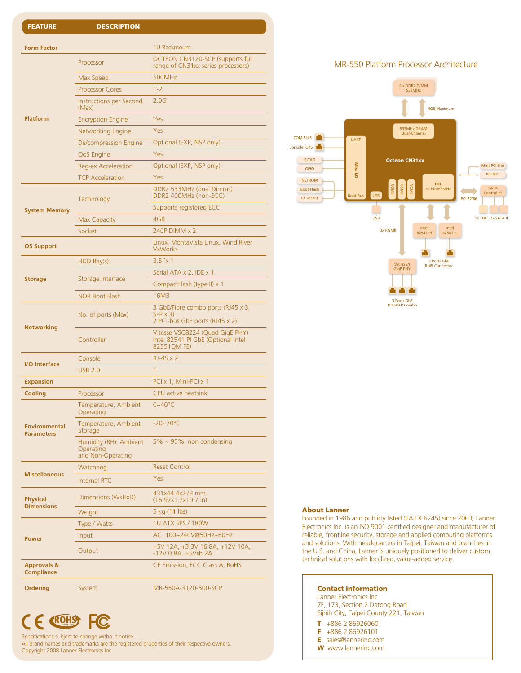| <b>FEATURE</b>                              | <b>DESCRIPTION</b>                                       |                                                                                        |
|---------------------------------------------|----------------------------------------------------------|----------------------------------------------------------------------------------------|
| <b>Form Factor</b>                          |                                                          | 1U Rackmount                                                                           |
| <b>Platform</b>                             | Processor                                                | OCTEON CN3120-SCP (supports full<br>range of CN31xx series processors)                 |
|                                             | Max Speed                                                | 500MHz                                                                                 |
|                                             | <b>Processor Cores</b>                                   | $1 - 2$                                                                                |
|                                             | Instructions per Second<br>(Max)                         | 2.0G                                                                                   |
|                                             | <b>Encryption Engine</b>                                 | Yes                                                                                    |
|                                             | Networking Engine                                        | Yes                                                                                    |
|                                             | De/compression Engine                                    | Optional (EXP, NSP only)                                                               |
|                                             | <b>QoS</b> Engine                                        | Yes                                                                                    |
|                                             | Reg-ex Acceleration                                      | Optional (EXP, NSP only)                                                               |
|                                             | <b>TCP Acceleration</b>                                  | Yes                                                                                    |
| <b>System Memory</b>                        | Technology                                               | DDR2 533MHz (dual Dimms)<br>DDR2 400MHz (non-ECC)                                      |
|                                             |                                                          | Supports registered ECC                                                                |
|                                             | Max Capacity                                             | 4GB                                                                                    |
|                                             | Socket                                                   | 240P DIMM x 2                                                                          |
| <b>OS Support</b>                           |                                                          | Linux, MontaVista Linux, Wind River<br><b>VxWorks</b>                                  |
| <b>Storage</b>                              | $HDD$ Bay(s)                                             | $3.5'' \times 1$                                                                       |
|                                             | Storage Interface                                        | Serial ATA x 2, IDE x 1                                                                |
|                                             |                                                          | CompactFlash (type II) x 1                                                             |
|                                             | <b>NOR Boot Flash</b>                                    | 16MB                                                                                   |
| <b>Networking</b>                           | No. of ports (Max)                                       | 3 GbE/Fibre combo ports (RJ45 x 3,<br>$SFP \times 3$<br>2 PCI-bus GbE ports (RJ45 x 2) |
|                                             | Controller                                               | Vitesse VSC8224 (Quad GigE PHY)<br>Intel 82541 PI GbE (Optional Intel<br>82551QM FE)   |
| <b>I/O</b> Interface                        | Console                                                  | $RJ-45 \times 2$                                                                       |
|                                             | <b>USB 2.0</b>                                           | $\mathbf{1}$                                                                           |
| <b>Expansion</b>                            |                                                          | PCI x 1, Mini-PCI x 1                                                                  |
| Coolina                                     | Processor                                                | CPU active heatsink                                                                    |
| <b>Environmental</b><br><b>Parameters</b>   | Temperature, Ambient<br>Operating                        | $0 - 40^{\circ}$ C                                                                     |
|                                             | Temperature, Ambient<br>Storage                          | $-20 - 70$ °C                                                                          |
|                                             | Humidity (RH), Ambient<br>Operating<br>and Non-Operating | $5\% \sim 95\%$ , non condensing                                                       |
| <b>Miscellaneous</b>                        | Watchdog                                                 | Reset Control                                                                          |
|                                             | <b>Internal RTC</b>                                      | Yes                                                                                    |
| <b>Physical</b><br><b>Dimensions</b>        | Dimensions (WxHxD)                                       | 431x44.4x273 mm<br>(16.97x1.7x10.7 in)                                                 |
|                                             | Weight                                                   | 5 kg (11 lbs)                                                                          |
| Power                                       | Type / Watts                                             | <b>1U ATX SPS / 180W</b>                                                               |
|                                             | Input                                                    | AC 100~240V@50Hz~60Hz                                                                  |
|                                             | Output                                                   | +5V 12A, +3.3V 16.8A, +12V 10A,<br>$-12V$ 0.8A, $+5Vsb$ 2A                             |
| <b>Approvals &amp;</b><br><b>Compliance</b> |                                                          | <b>CE Emission, FCC Class A, RoHS</b>                                                  |
| <b>Ordering</b>                             | System                                                   | MR-550A-3120-500-SCP                                                                   |

# MR-550 Platform Processor Architecture



#### About Lanner

Founded in 1986 and publicly listed (TAIEX 6245) since 2003, Lanner Electronics Inc. is an ISO 9001 certified designer and manufacturer of reliable, frontline security, storage and applied computing platforms and solutions. With headquarters in Taipei, Taiwan and branches in the U.S. and China, Lanner is uniquely positioned to deliver custom technical solutions with localized, value-added service.

#### Contact information Lanner Electronics Inc 7F, 173, Section 2 Datong Road Sijhih City, Taipei County 221, Taiwan  $T + 886286926060$ F +886 2 86926101 E sales@lannerinc.com **W** www.lannerinc.com

Specifications subject to change without notice. All brand names and trademarks are the registered properties of their respective owners. Copyright 2008 Lanner Electronics Inc.

**FC** 

CE ROHST